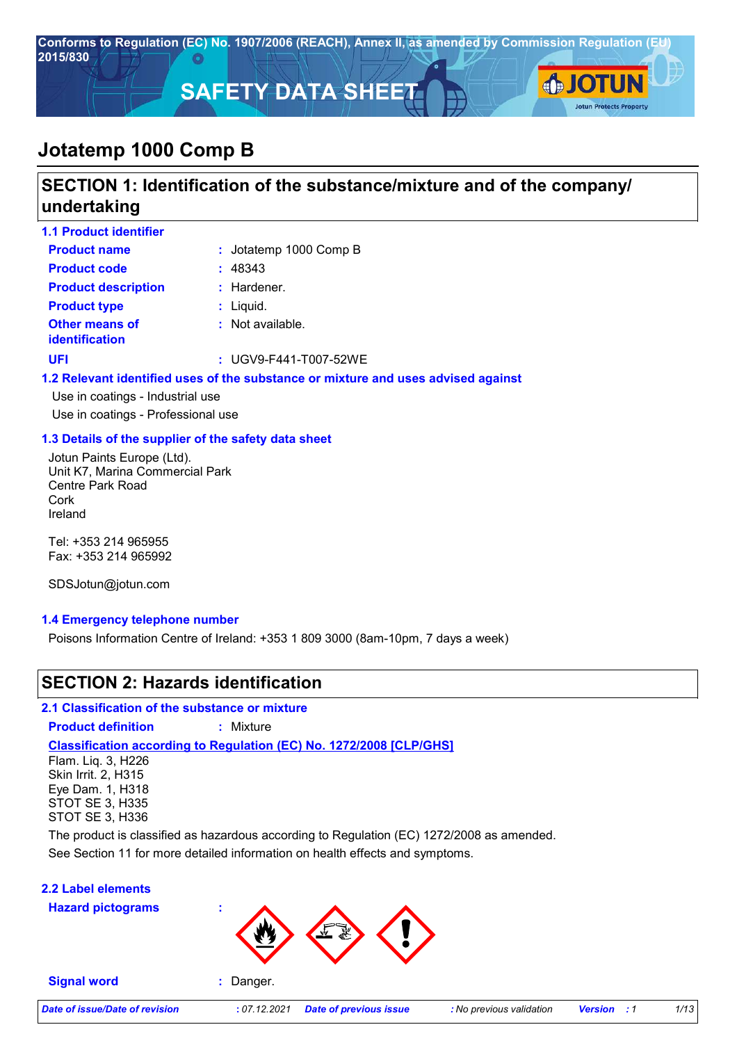

# **SECTION 1: Identification of the substance/mixture and of the company/ undertaking**

| <b>1.1 Product identifier</b>           |                                                                                   |
|-----------------------------------------|-----------------------------------------------------------------------------------|
| <b>Product name</b>                     | : Jotatemp 1000 Comp $B$                                                          |
| <b>Product code</b>                     | : 48343                                                                           |
| <b>Product description</b>              | $:$ Hardener.                                                                     |
| <b>Product type</b>                     | $:$ Liquid.                                                                       |
| <b>Other means of</b><br>identification | $:$ Not available.                                                                |
| <b>UFI</b>                              | : $UGV9-F441-T007-52WE$                                                           |
|                                         | 1.2 Relevant identified uses of the substance or mixture and uses advised against |
| Use in coatings - Industrial use        |                                                                                   |
| Use in coatings - Professional use      |                                                                                   |

### **1.3 Details of the supplier of the safety data sheet**

Jotun Paints Europe (Ltd). Unit K7, Marina Commercial Park Centre Park Road Cork Ireland

Tel: +353 214 965955 Fax: +353 214 965992

SDSJotun@jotun.com

### **1.4 Emergency telephone number**

Poisons Information Centre of Ireland: +353 1 809 3000 (8am-10pm, 7 days a week)

### **SECTION 2: Hazards identification**

**2.1 Classification of the substance or mixture**

**Product definition :** Mixture

### **Classification according to Regulation (EC) No. 1272/2008 [CLP/GHS]**

Flam. Liq. 3, H226 Skin Irrit. 2, H315 Eye Dam. 1, H318 STOT SE 3, H335 STOT SE 3, H336

The product is classified as hazardous according to Regulation (EC) 1272/2008 as amended.

See Section 11 for more detailed information on health effects and symptoms.

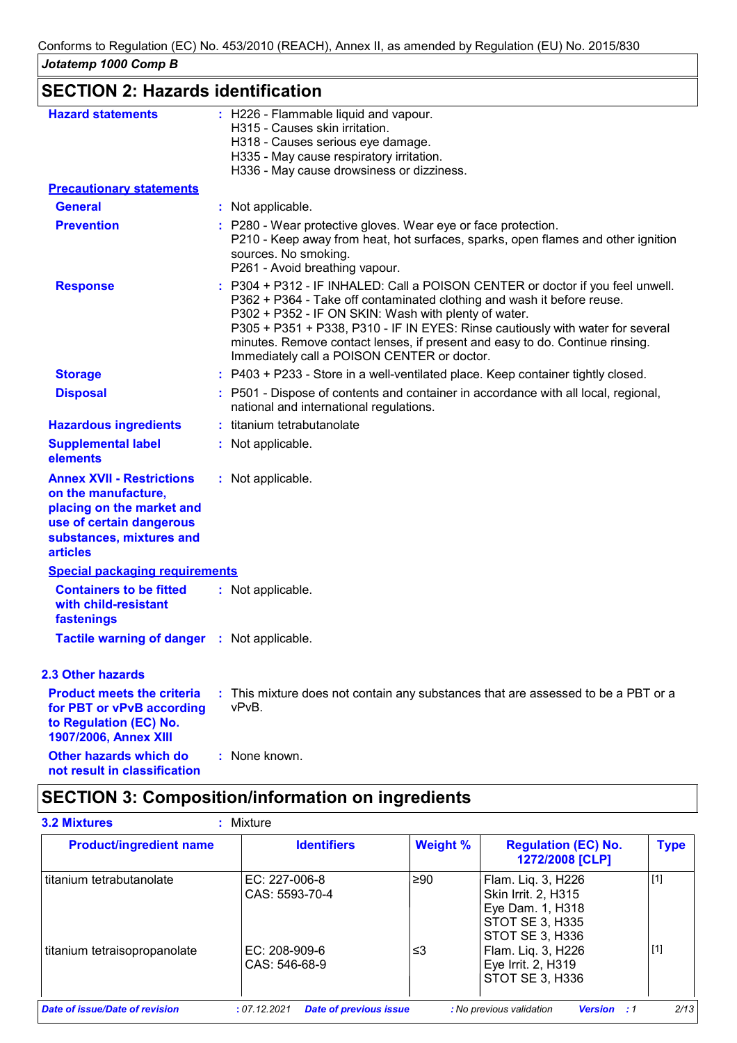| JUlalenip Tuul Cunip D                                                                                                                                          |                                                                                                                                                                                                                                                                                                                                                                                                                                   |
|-----------------------------------------------------------------------------------------------------------------------------------------------------------------|-----------------------------------------------------------------------------------------------------------------------------------------------------------------------------------------------------------------------------------------------------------------------------------------------------------------------------------------------------------------------------------------------------------------------------------|
| <b>SECTION 2: Hazards identification</b>                                                                                                                        |                                                                                                                                                                                                                                                                                                                                                                                                                                   |
| <b>Hazard statements</b>                                                                                                                                        | : H226 - Flammable liquid and vapour.<br>H315 - Causes skin irritation.<br>H318 - Causes serious eye damage.<br>H335 - May cause respiratory irritation.<br>H336 - May cause drowsiness or dizziness.                                                                                                                                                                                                                             |
| <b>Precautionary statements</b>                                                                                                                                 |                                                                                                                                                                                                                                                                                                                                                                                                                                   |
| <b>General</b>                                                                                                                                                  | : Not applicable.                                                                                                                                                                                                                                                                                                                                                                                                                 |
| <b>Prevention</b>                                                                                                                                               | : P280 - Wear protective gloves. Wear eye or face protection.<br>P210 - Keep away from heat, hot surfaces, sparks, open flames and other ignition<br>sources. No smoking.<br>P261 - Avoid breathing vapour.                                                                                                                                                                                                                       |
| <b>Response</b>                                                                                                                                                 | : P304 + P312 - IF INHALED: Call a POISON CENTER or doctor if you feel unwell.<br>P362 + P364 - Take off contaminated clothing and wash it before reuse.<br>P302 + P352 - IF ON SKIN: Wash with plenty of water.<br>P305 + P351 + P338, P310 - IF IN EYES: Rinse cautiously with water for several<br>minutes. Remove contact lenses, if present and easy to do. Continue rinsing.<br>Immediately call a POISON CENTER or doctor. |
| <b>Storage</b>                                                                                                                                                  | : P403 + P233 - Store in a well-ventilated place. Keep container tightly closed.                                                                                                                                                                                                                                                                                                                                                  |
| <b>Disposal</b>                                                                                                                                                 | : P501 - Dispose of contents and container in accordance with all local, regional,<br>national and international regulations.                                                                                                                                                                                                                                                                                                     |
| <b>Hazardous ingredients</b>                                                                                                                                    | : titanium tetrabutanolate                                                                                                                                                                                                                                                                                                                                                                                                        |
| <b>Supplemental label</b><br>elements                                                                                                                           | : Not applicable.                                                                                                                                                                                                                                                                                                                                                                                                                 |
| <b>Annex XVII - Restrictions</b><br>on the manufacture,<br>placing on the market and<br>use of certain dangerous<br>substances, mixtures and<br><b>articles</b> | : Not applicable.                                                                                                                                                                                                                                                                                                                                                                                                                 |
| <b>Special packaging requirements</b>                                                                                                                           |                                                                                                                                                                                                                                                                                                                                                                                                                                   |
| <b>Containers to be fitted</b><br>with child-resistant<br>fastenings                                                                                            | : Not applicable.                                                                                                                                                                                                                                                                                                                                                                                                                 |
| Tactile warning of danger : Not applicable.                                                                                                                     |                                                                                                                                                                                                                                                                                                                                                                                                                                   |
| <b>2.3 Other hazards</b>                                                                                                                                        |                                                                                                                                                                                                                                                                                                                                                                                                                                   |
| <b>Product meets the criteria</b><br>for PBT or vPvB according<br>to Regulation (EC) No.<br>1907/2006, Annex XIII                                               | : This mixture does not contain any substances that are assessed to be a PBT or a<br>vPvB.                                                                                                                                                                                                                                                                                                                                        |
| <b>Other hazards which do</b><br>not result in classification                                                                                                   | : None known.                                                                                                                                                                                                                                                                                                                                                                                                                     |

# **SECTION 3: Composition/information on ingredients**

| <b>Product/ingredient name</b> | <b>Identifiers</b>              | <b>Weight %</b> | <b>Regulation (EC) No.</b><br>1272/2008 [CLP]                                                              | <b>Type</b> |
|--------------------------------|---------------------------------|-----------------|------------------------------------------------------------------------------------------------------------|-------------|
| titanium tetrabutanolate       | EC: 227-006-8<br>CAS: 5593-70-4 | ≥90             | Flam. Liq. 3, H226<br><b>Skin Irrit. 2. H315</b><br>Eye Dam. 1, H318<br>STOT SE 3, H335<br>STOT SE 3, H336 | $[1]$       |
| titanium tetraisopropanolate   | EC: 208-909-6<br>CAS: 546-68-9  | ו≥ ≥            | Flam. Liq. 3, H226<br>Eye Irrit. 2, H319<br>STOT SE 3, H336                                                | $[1]$       |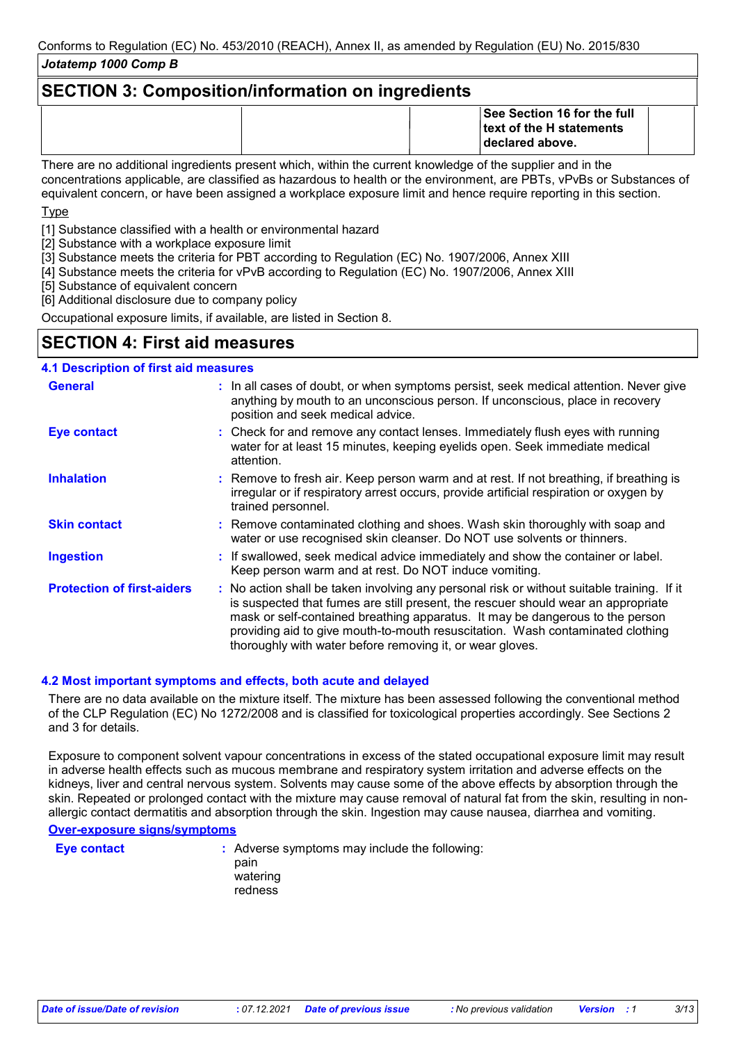### **SECTION 3: Composition/information on ingredients**

|                                                                                                           | See Section 16 for the full<br><b>Itext of the H statements</b><br>declared above. |  |  |
|-----------------------------------------------------------------------------------------------------------|------------------------------------------------------------------------------------|--|--|
| There are no additional ingradiante propont which within the ourrent knowledge of the quaplier and in the |                                                                                    |  |  |

There are no additional ingredients present which, within the current knowledge of the supplier and in the concentrations applicable, are classified as hazardous to health or the environment, are PBTs, vPvBs or Substances of equivalent concern, or have been assigned a workplace exposure limit and hence require reporting in this section.

**T**<sub>vpe</sub>

[1] Substance classified with a health or environmental hazard

[2] Substance with a workplace exposure limit

- [3] Substance meets the criteria for PBT according to Regulation (EC) No. 1907/2006, Annex XIII
- [4] Substance meets the criteria for vPvB according to Regulation (EC) No. 1907/2006, Annex XIII

[5] Substance of equivalent concern

[6] Additional disclosure due to company policy

Occupational exposure limits, if available, are listed in Section 8.

### **SECTION 4: First aid measures**

### **4.1 Description of first aid measures**

| <b>General</b>                    | : In all cases of doubt, or when symptoms persist, seek medical attention. Never give<br>anything by mouth to an unconscious person. If unconscious, place in recovery<br>position and seek medical advice.                                                                                                                                                                                                     |
|-----------------------------------|-----------------------------------------------------------------------------------------------------------------------------------------------------------------------------------------------------------------------------------------------------------------------------------------------------------------------------------------------------------------------------------------------------------------|
| <b>Eye contact</b>                | : Check for and remove any contact lenses. Immediately flush eyes with running<br>water for at least 15 minutes, keeping eyelids open. Seek immediate medical<br>attention.                                                                                                                                                                                                                                     |
| <b>Inhalation</b>                 | : Remove to fresh air. Keep person warm and at rest. If not breathing, if breathing is<br>irregular or if respiratory arrest occurs, provide artificial respiration or oxygen by<br>trained personnel.                                                                                                                                                                                                          |
| <b>Skin contact</b>               | : Remove contaminated clothing and shoes. Wash skin thoroughly with soap and<br>water or use recognised skin cleanser. Do NOT use solvents or thinners.                                                                                                                                                                                                                                                         |
| <b>Ingestion</b>                  | : If swallowed, seek medical advice immediately and show the container or label.<br>Keep person warm and at rest. Do NOT induce vomiting.                                                                                                                                                                                                                                                                       |
| <b>Protection of first-aiders</b> | : No action shall be taken involving any personal risk or without suitable training. If it<br>is suspected that fumes are still present, the rescuer should wear an appropriate<br>mask or self-contained breathing apparatus. It may be dangerous to the person<br>providing aid to give mouth-to-mouth resuscitation. Wash contaminated clothing<br>thoroughly with water before removing it, or wear gloves. |

### **4.2 Most important symptoms and effects, both acute and delayed**

There are no data available on the mixture itself. The mixture has been assessed following the conventional method of the CLP Regulation (EC) No 1272/2008 and is classified for toxicological properties accordingly. See Sections 2 and 3 for details.

Exposure to component solvent vapour concentrations in excess of the stated occupational exposure limit may result in adverse health effects such as mucous membrane and respiratory system irritation and adverse effects on the kidneys, liver and central nervous system. Solvents may cause some of the above effects by absorption through the skin. Repeated or prolonged contact with the mixture may cause removal of natural fat from the skin, resulting in nonallergic contact dermatitis and absorption through the skin. Ingestion may cause nausea, diarrhea and vomiting.

#### **Over-exposure signs/symptoms**

**Eye contact :** Adverse symptoms may include the following: pain watering redness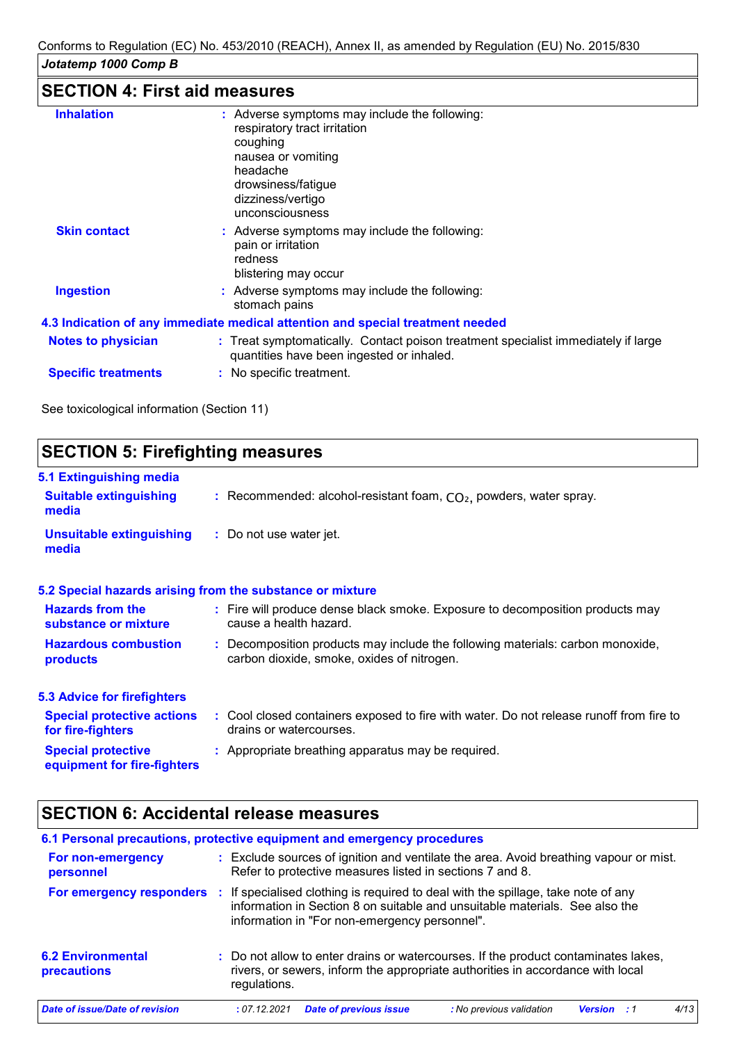# **SECTION 4: First aid measures**

| <b>Inhalation</b>          | : Adverse symptoms may include the following:<br>respiratory tract irritation<br>coughing<br>nausea or vomiting<br>headache<br>drowsiness/fatigue<br>dizziness/vertigo<br>unconsciousness |
|----------------------------|-------------------------------------------------------------------------------------------------------------------------------------------------------------------------------------------|
| <b>Skin contact</b>        | : Adverse symptoms may include the following:<br>pain or irritation<br>redness<br>blistering may occur                                                                                    |
| <b>Ingestion</b>           | : Adverse symptoms may include the following:<br>stomach pains                                                                                                                            |
|                            | 4.3 Indication of any immediate medical attention and special treatment needed                                                                                                            |
| <b>Notes to physician</b>  | : Treat symptomatically. Contact poison treatment specialist immediately if large<br>quantities have been ingested or inhaled.                                                            |
| <b>Specific treatments</b> | : No specific treatment.                                                                                                                                                                  |
|                            |                                                                                                                                                                                           |

See toxicological information (Section 11)

| <b>SECTION 5: Firefighting measures</b>                           |                                                                                                                              |  |  |  |  |  |
|-------------------------------------------------------------------|------------------------------------------------------------------------------------------------------------------------------|--|--|--|--|--|
| 5.1 Extinguishing media<br><b>Suitable extinguishing</b><br>media | : Recommended: alcohol-resistant foam, $CO2$ , powders, water spray.                                                         |  |  |  |  |  |
| <b>Unsuitable extinguishing</b><br>media                          | : Do not use water jet.                                                                                                      |  |  |  |  |  |
|                                                                   | 5.2 Special hazards arising from the substance or mixture                                                                    |  |  |  |  |  |
| <b>Hazards from the</b><br>substance or mixture                   | : Fire will produce dense black smoke. Exposure to decomposition products may<br>cause a health hazard.                      |  |  |  |  |  |
| <b>Hazardous combustion</b><br><b>products</b>                    | : Decomposition products may include the following materials: carbon monoxide,<br>carbon dioxide, smoke, oxides of nitrogen. |  |  |  |  |  |
| <b>5.3 Advice for firefighters</b>                                |                                                                                                                              |  |  |  |  |  |
| <b>Special protective actions</b><br>for fire-fighters            | : Cool closed containers exposed to fire with water. Do not release runoff from fire to<br>drains or watercourses.           |  |  |  |  |  |
| <b>Special protective</b><br>equipment for fire-fighters          | : Appropriate breathing apparatus may be required.                                                                           |  |  |  |  |  |

# **SECTION 6: Accidental release measures**

| 6.1 Personal precautions, protective equipment and emergency procedures |              |                                               |                                                                                                                                                                      |                    |      |
|-------------------------------------------------------------------------|--------------|-----------------------------------------------|----------------------------------------------------------------------------------------------------------------------------------------------------------------------|--------------------|------|
| For non-emergency<br>personnel                                          |              |                                               | : Exclude sources of ignition and ventilate the area. Avoid breathing vapour or mist.<br>Refer to protective measures listed in sections 7 and 8.                    |                    |      |
| For emergency responders                                                |              | information in "For non-emergency personnel". | If specialised clothing is required to deal with the spillage, take note of any<br>information in Section 8 on suitable and unsuitable materials. See also the       |                    |      |
| <b>6.2 Environmental</b><br>precautions                                 | regulations. |                                               | : Do not allow to enter drains or watercourses. If the product contaminates lakes,<br>rivers, or sewers, inform the appropriate authorities in accordance with local |                    |      |
| Date of issue/Date of revision                                          | : 07.12.2021 | <b>Date of previous issue</b>                 | : No previous validation                                                                                                                                             | <b>Version</b> : 1 | 4/13 |
|                                                                         |              |                                               |                                                                                                                                                                      |                    |      |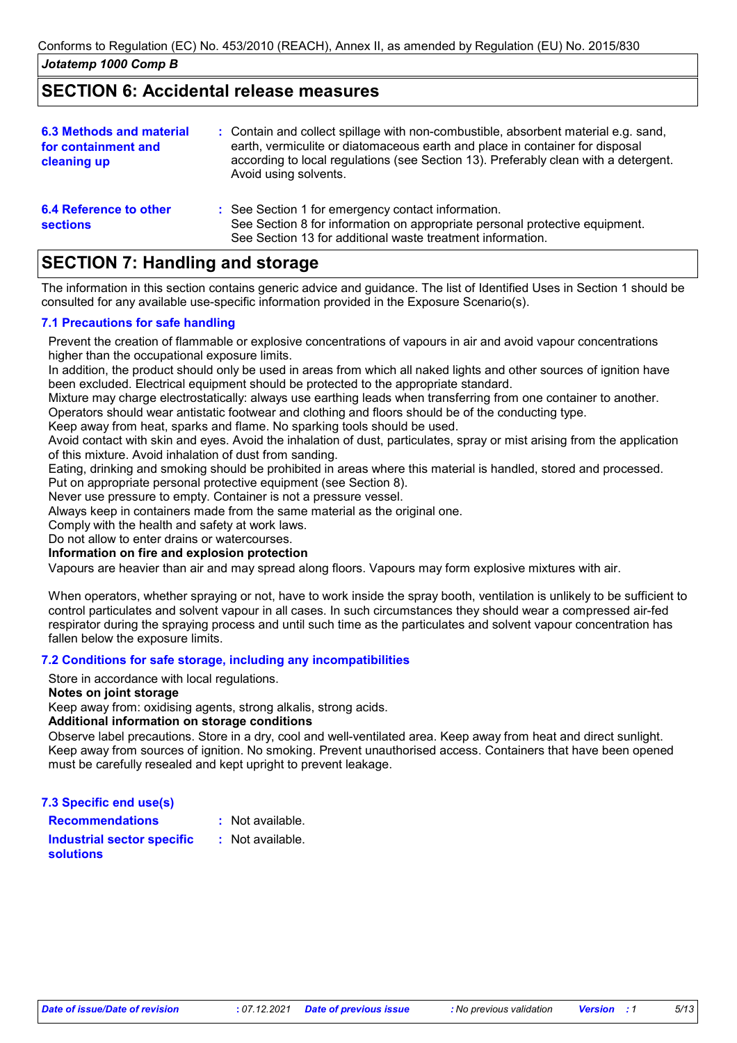### **SECTION 6: Accidental release measures**

| <b>6.3 Methods and material</b><br>for containment and<br>cleaning up | : Contain and collect spillage with non-combustible, absorbent material e.g. sand,<br>earth, vermiculite or diatomaceous earth and place in container for disposal<br>according to local regulations (see Section 13). Preferably clean with a detergent.<br>Avoid using solvents. |
|-----------------------------------------------------------------------|------------------------------------------------------------------------------------------------------------------------------------------------------------------------------------------------------------------------------------------------------------------------------------|
| <b>6.4 Reference to other</b><br><b>sections</b>                      | : See Section 1 for emergency contact information.<br>See Section 8 for information on appropriate personal protective equipment.<br>See Section 13 for additional waste treatment information.                                                                                    |

# **SECTION 7: Handling and storage**

The information in this section contains generic advice and guidance. The list of Identified Uses in Section 1 should be consulted for any available use-specific information provided in the Exposure Scenario(s).

### **7.1 Precautions for safe handling**

Prevent the creation of flammable or explosive concentrations of vapours in air and avoid vapour concentrations higher than the occupational exposure limits.

In addition, the product should only be used in areas from which all naked lights and other sources of ignition have been excluded. Electrical equipment should be protected to the appropriate standard.

Mixture may charge electrostatically: always use earthing leads when transferring from one container to another. Operators should wear antistatic footwear and clothing and floors should be of the conducting type.

Keep away from heat, sparks and flame. No sparking tools should be used.

Avoid contact with skin and eyes. Avoid the inhalation of dust, particulates, spray or mist arising from the application of this mixture. Avoid inhalation of dust from sanding.

Eating, drinking and smoking should be prohibited in areas where this material is handled, stored and processed.

Put on appropriate personal protective equipment (see Section 8).

Never use pressure to empty. Container is not a pressure vessel.

Always keep in containers made from the same material as the original one.

Comply with the health and safety at work laws.

Do not allow to enter drains or watercourses.

### **Information on fire and explosion protection**

Vapours are heavier than air and may spread along floors. Vapours may form explosive mixtures with air.

When operators, whether spraying or not, have to work inside the spray booth, ventilation is unlikely to be sufficient to control particulates and solvent vapour in all cases. In such circumstances they should wear a compressed air-fed respirator during the spraying process and until such time as the particulates and solvent vapour concentration has fallen below the exposure limits.

### **7.2 Conditions for safe storage, including any incompatibilities**

Store in accordance with local regulations.

#### **Notes on joint storage**

Keep away from: oxidising agents, strong alkalis, strong acids.

### **Additional information on storage conditions**

Observe label precautions. Store in a dry, cool and well-ventilated area. Keep away from heat and direct sunlight. Keep away from sources of ignition. No smoking. Prevent unauthorised access. Containers that have been opened must be carefully resealed and kept upright to prevent leakage.

**7.3 Specific end use(s)**

**Recommendations : Industrial sector specific : solutions**

: Not available.

: Not available.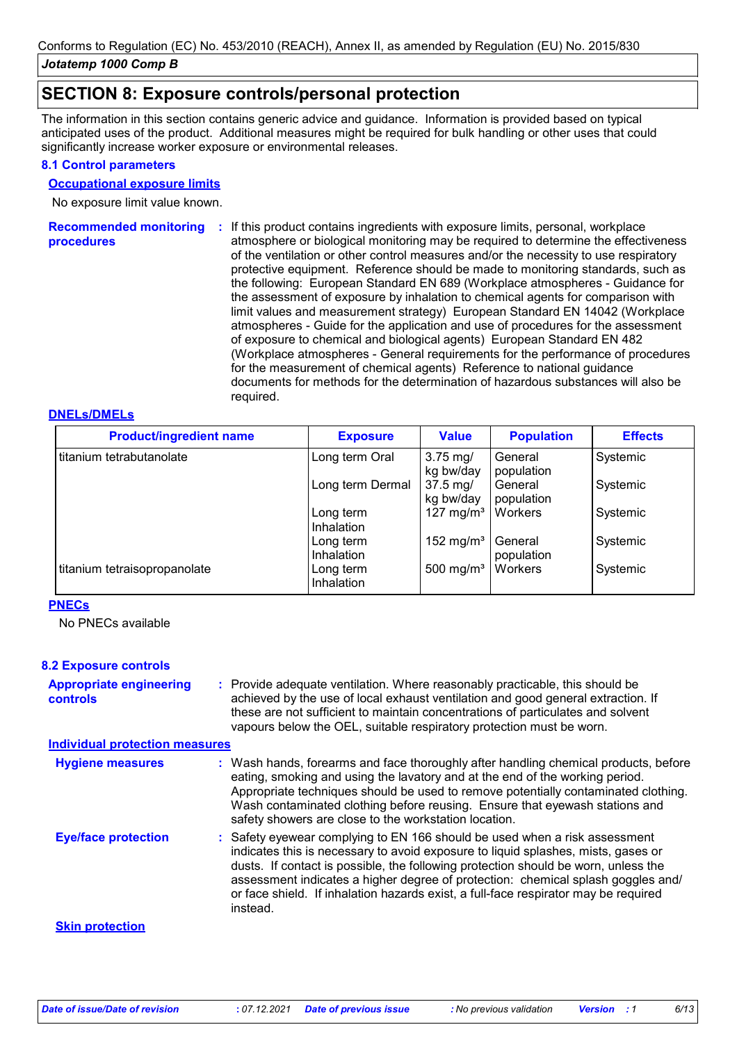## **SECTION 8: Exposure controls/personal protection**

The information in this section contains generic advice and guidance. Information is provided based on typical anticipated uses of the product. Additional measures might be required for bulk handling or other uses that could significantly increase worker exposure or environmental releases.

### **8.1 Control parameters**

#### **Occupational exposure limits**

No exposure limit value known.

**Recommended monitoring**  If this product contains ingredients with exposure limits, personal, workplace **: procedures** atmosphere or biological monitoring may be required to determine the effectiveness of the ventilation or other control measures and/or the necessity to use respiratory protective equipment. Reference should be made to monitoring standards, such as the following: European Standard EN 689 (Workplace atmospheres - Guidance for the assessment of exposure by inhalation to chemical agents for comparison with limit values and measurement strategy) European Standard EN 14042 (Workplace atmospheres - Guide for the application and use of procedures for the assessment of exposure to chemical and biological agents) European Standard EN 482 (Workplace atmospheres - General requirements for the performance of procedures for the measurement of chemical agents) Reference to national guidance documents for methods for the determination of hazardous substances will also be required.

### **DNELs/DMELs**

| <b>Product/ingredient name</b> | <b>Exposure</b>                | <b>Value</b>                   | <b>Population</b>     | <b>Effects</b> |
|--------------------------------|--------------------------------|--------------------------------|-----------------------|----------------|
| titanium tetrabutanolate       | Long term Oral                 | $3.75$ mg/<br>kg bw/day        | General<br>population | Systemic       |
|                                | Long term Dermal               | $37.5 \text{ mg}$<br>kg bw/day | General<br>population | Systemic       |
|                                | Long term<br><b>Inhalation</b> | 127 mg/m <sup>3</sup>          | Workers               | Systemic       |
|                                | Long term<br>Inhalation        | 152 mg/m <sup>3</sup>          | General<br>population | Systemic       |
| titanium tetraisopropanolate   | Long term<br>Inhalation        | 500 mg/m <sup>3</sup>          | Workers               | Systemic       |

### **PNECs**

No PNECs available

### **8.2 Exposure controls**

| <b>Appropriate engineering</b> | : Provide adequate ventilation. Where reasonably practicable, this should be     |
|--------------------------------|----------------------------------------------------------------------------------|
| controls                       | achieved by the use of local exhaust ventilation and good general extraction. If |
|                                | these are not sufficient to maintain concentrations of particulates and solvent  |
|                                | vapours below the OEL, suitable respiratory protection must be worn.             |

#### **Individual protection measures**

| <b>Hygiene measures</b>    | : Wash hands, forearms and face thoroughly after handling chemical products, before<br>eating, smoking and using the lavatory and at the end of the working period.<br>Appropriate techniques should be used to remove potentially contaminated clothing.<br>Wash contaminated clothing before reusing. Ensure that eyewash stations and<br>safety showers are close to the workstation location.                                            |
|----------------------------|----------------------------------------------------------------------------------------------------------------------------------------------------------------------------------------------------------------------------------------------------------------------------------------------------------------------------------------------------------------------------------------------------------------------------------------------|
| <b>Eye/face protection</b> | : Safety eyewear complying to EN 166 should be used when a risk assessment<br>indicates this is necessary to avoid exposure to liquid splashes, mists, gases or<br>dusts. If contact is possible, the following protection should be worn, unless the<br>assessment indicates a higher degree of protection: chemical splash goggles and/<br>or face shield. If inhalation hazards exist, a full-face respirator may be required<br>instead. |
| <b>Skin protection</b>     |                                                                                                                                                                                                                                                                                                                                                                                                                                              |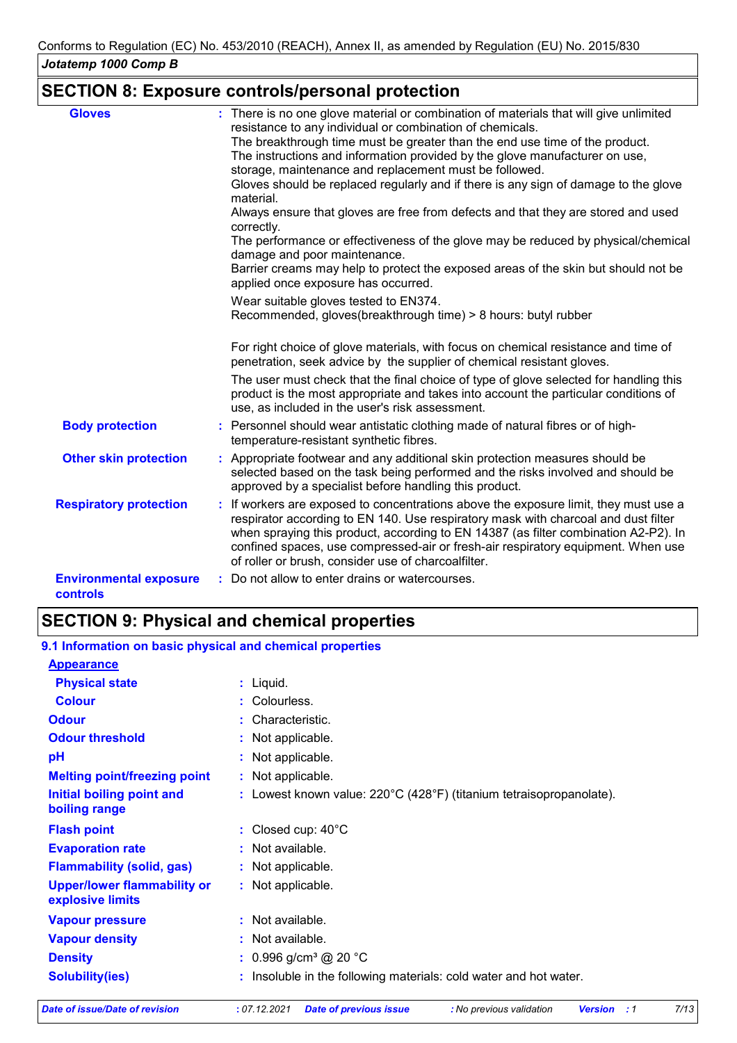## **SECTION 8: Exposure controls/personal protection**

| <b>Gloves</b>                             | : There is no one glove material or combination of materials that will give unlimited<br>resistance to any individual or combination of chemicals.                                                                                                                                                                                                                                                           |
|-------------------------------------------|--------------------------------------------------------------------------------------------------------------------------------------------------------------------------------------------------------------------------------------------------------------------------------------------------------------------------------------------------------------------------------------------------------------|
|                                           | The breakthrough time must be greater than the end use time of the product.<br>The instructions and information provided by the glove manufacturer on use,                                                                                                                                                                                                                                                   |
|                                           | storage, maintenance and replacement must be followed.<br>Gloves should be replaced regularly and if there is any sign of damage to the glove<br>material.                                                                                                                                                                                                                                                   |
|                                           | Always ensure that gloves are free from defects and that they are stored and used<br>correctly.                                                                                                                                                                                                                                                                                                              |
|                                           | The performance or effectiveness of the glove may be reduced by physical/chemical<br>damage and poor maintenance.                                                                                                                                                                                                                                                                                            |
|                                           | Barrier creams may help to protect the exposed areas of the skin but should not be<br>applied once exposure has occurred.                                                                                                                                                                                                                                                                                    |
|                                           | Wear suitable gloves tested to EN374.                                                                                                                                                                                                                                                                                                                                                                        |
|                                           | Recommended, gloves(breakthrough time) > 8 hours: butyl rubber                                                                                                                                                                                                                                                                                                                                               |
|                                           | For right choice of glove materials, with focus on chemical resistance and time of<br>penetration, seek advice by the supplier of chemical resistant gloves.                                                                                                                                                                                                                                                 |
|                                           | The user must check that the final choice of type of glove selected for handling this<br>product is the most appropriate and takes into account the particular conditions of<br>use, as included in the user's risk assessment.                                                                                                                                                                              |
| <b>Body protection</b>                    | : Personnel should wear antistatic clothing made of natural fibres or of high-<br>temperature-resistant synthetic fibres.                                                                                                                                                                                                                                                                                    |
| <b>Other skin protection</b>              | : Appropriate footwear and any additional skin protection measures should be<br>selected based on the task being performed and the risks involved and should be<br>approved by a specialist before handling this product.                                                                                                                                                                                    |
| <b>Respiratory protection</b>             | : If workers are exposed to concentrations above the exposure limit, they must use a<br>respirator according to EN 140. Use respiratory mask with charcoal and dust filter<br>when spraying this product, according to EN 14387 (as filter combination A2-P2). In<br>confined spaces, use compressed-air or fresh-air respiratory equipment. When use<br>of roller or brush, consider use of charcoalfilter. |
| <b>Environmental exposure</b><br>controls | : Do not allow to enter drains or watercourses.                                                                                                                                                                                                                                                                                                                                                              |

# **SECTION 9: Physical and chemical properties**

#### : Lowest known value: 220°C (428°F) (titanium tetraisopropanolate). **Physical state Melting point/freezing point Initial boiling point and boiling range Vapour pressure Density Vapour density Solubility(ies)** Liquid. **:** Not applicable. **:** 0.996 g/cm³ @ 20 °C **:** Not available. **:** Not available. **: :** Insoluble in the following materials: cold water and hot water. **Odour** Characteristic. **pH Colour** Colourless. **Evaporation rate Flash point**  $\qquad \qquad : \text{ Closed cup: } 40^{\circ} \text{C}$ Not applicable. **: :** Not applicable. **Odour threshold Upper/lower flammability or explosive limits :** Not applicable. : Not available. **9.1 Information on basic physical and chemical properties Appearance Flammability (solid, gas) :** : Not applicable.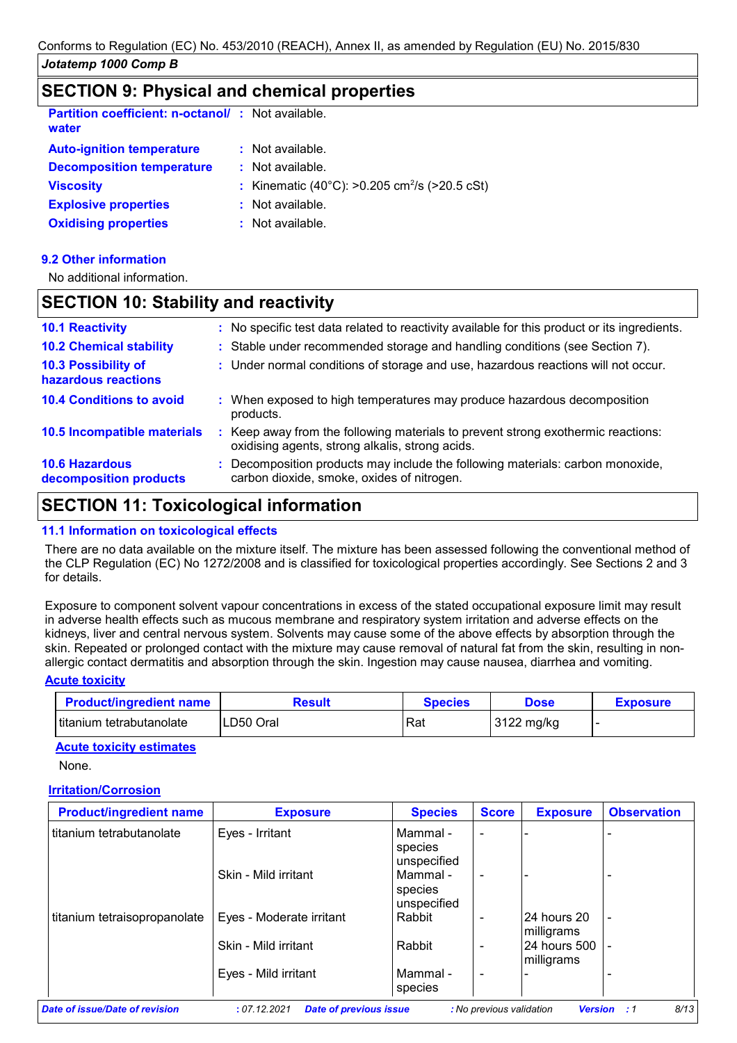### **SECTION 9: Physical and chemical properties**

| <b>Partition coefficient: n-octanol/: Not available.</b><br>water |    |                                                           |
|-------------------------------------------------------------------|----|-----------------------------------------------------------|
| <b>Auto-ignition temperature</b>                                  |    | $:$ Not available.                                        |
| <b>Decomposition temperature</b>                                  |    | $\therefore$ Not available.                               |
| <b>Viscosity</b>                                                  |    | : Kinematic (40°C): >0.205 cm <sup>2</sup> /s (>20.5 cSt) |
| <b>Explosive properties</b>                                       |    | $:$ Not available.                                        |
| <b>Oxidising properties</b>                                       | ÷. | Not available.                                            |

### **9.2 Other information**

No additional information.

### **SECTION 10: Stability and reactivity**

| <b>10.1 Reactivity</b>                            |    | : No specific test data related to reactivity available for this product or its ingredients.                                      |
|---------------------------------------------------|----|-----------------------------------------------------------------------------------------------------------------------------------|
| <b>10.2 Chemical stability</b>                    |    | : Stable under recommended storage and handling conditions (see Section 7).                                                       |
| <b>10.3 Possibility of</b><br>hazardous reactions |    | : Under normal conditions of storage and use, hazardous reactions will not occur.                                                 |
| <b>10.4 Conditions to avoid</b>                   |    | : When exposed to high temperatures may produce hazardous decomposition<br>products.                                              |
| 10.5 Incompatible materials                       | ÷. | Keep away from the following materials to prevent strong exothermic reactions:<br>oxidising agents, strong alkalis, strong acids. |
| <b>10.6 Hazardous</b><br>decomposition products   |    | : Decomposition products may include the following materials: carbon monoxide,<br>carbon dioxide, smoke, oxides of nitrogen.      |

# **SECTION 11: Toxicological information**

### **11.1 Information on toxicological effects**

There are no data available on the mixture itself. The mixture has been assessed following the conventional method of the CLP Regulation (EC) No 1272/2008 and is classified for toxicological properties accordingly. See Sections 2 and 3 for details.

Exposure to component solvent vapour concentrations in excess of the stated occupational exposure limit may result in adverse health effects such as mucous membrane and respiratory system irritation and adverse effects on the kidneys, liver and central nervous system. Solvents may cause some of the above effects by absorption through the skin. Repeated or prolonged contact with the mixture may cause removal of natural fat from the skin, resulting in nonallergic contact dermatitis and absorption through the skin. Ingestion may cause nausea, diarrhea and vomiting.

### **Acute toxicity**

| <b>Product/ingredient name</b> | Result    | Species | Dose       | <b>Exposure</b> |
|--------------------------------|-----------|---------|------------|-----------------|
| l titanium tetrabutanolate     | LD50 Oral | Rat     | 3122 mg/kg |                 |

### **Acute toxicity estimates**

None.

### **Irritation/Corrosion**

| <b>Exposure</b>          | <b>Species</b>          | <b>Score</b>             | <b>Exposure</b> | <b>Observation</b>         |
|--------------------------|-------------------------|--------------------------|-----------------|----------------------------|
| Eyes - Irritant          | Mammal -<br>species     | $\blacksquare$           |                 |                            |
| Skin - Mild irritant     | unspecified<br>Mammal - | $\blacksquare$           |                 |                            |
| Eyes - Moderate irritant | unspecified<br>Rabbit   | $\overline{\phantom{a}}$ | 24 hours 20     | $\blacksquare$             |
| Skin - Mild irritant     | Rabbit                  | $\overline{\phantom{0}}$ | milligrams      | $\blacksquare$             |
| Eyes - Mild irritant     | Mammal -<br>species     | $\blacksquare$           |                 |                            |
|                          |                         | species                  |                 | milligrams<br>24 hours 500 |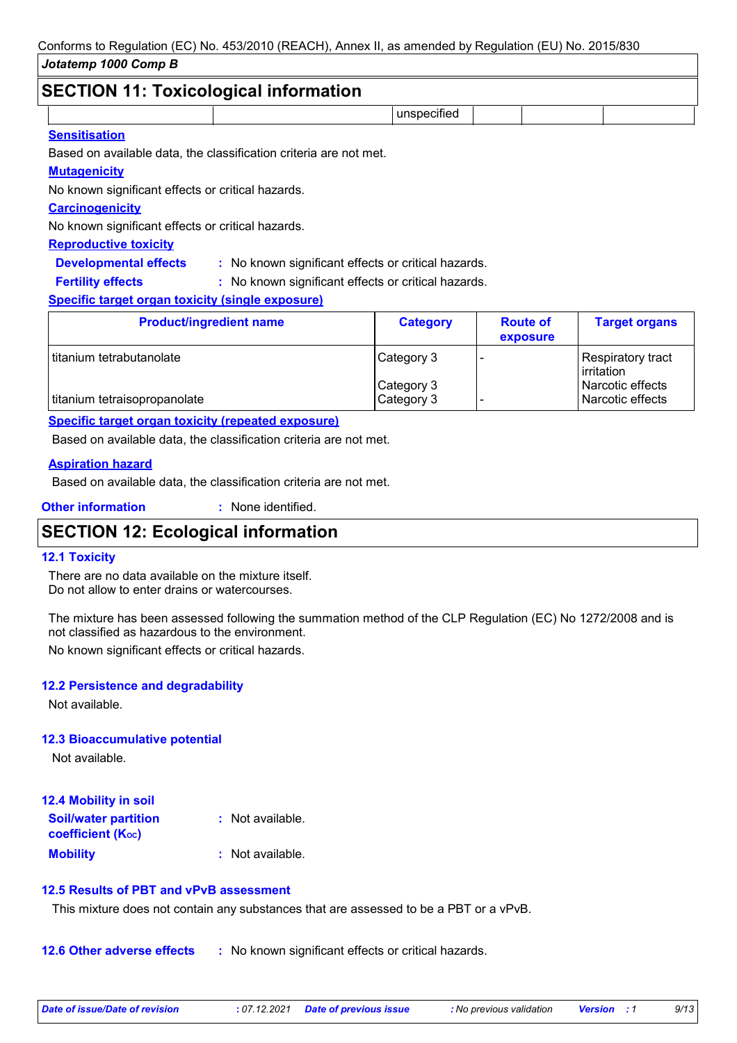# **SECTION 11: Toxicological information**

| SECTION TT: TOXICOlOGICALINIONIIAUON                                                                                                                                                                                           |             |  |  |
|--------------------------------------------------------------------------------------------------------------------------------------------------------------------------------------------------------------------------------|-------------|--|--|
|                                                                                                                                                                                                                                | unspecified |  |  |
| and the second second second second second and second the second second second second second second second second second second second second second second second second second second second second second second second sec |             |  |  |

### **Sensitisation**

Based on available data, the classification criteria are not met.

### **Mutagenicity**

No known significant effects or critical hazards.

### **Carcinogenicity**

No known significant effects or critical hazards.

### **Reproductive toxicity**

**Developmental effects :** : No known significant effects or critical hazards.

: No known significant effects or critical hazards. **Fertility effects :**

### **Specific target organ toxicity (single exposure)**

| <b>Category</b> | <b>Route of</b><br>exposure | <b>Target organs</b>                 |
|-----------------|-----------------------------|--------------------------------------|
| Category 3      |                             | Respiratory tract<br>irritation      |
| Category 3      |                             | Narcotic effects<br>Narcotic effects |
|                 | Category 3                  |                                      |

### **Specific target organ toxicity (repeated exposure)**

Based on available data, the classification criteria are not met.

### **Aspiration hazard**

Based on available data, the classification criteria are not met.

**Other information :** : None identified.

# **SECTION 12: Ecological information**

### **12.1 Toxicity**

There are no data available on the mixture itself. Do not allow to enter drains or watercourses.

The mixture has been assessed following the summation method of the CLP Regulation (EC) No 1272/2008 and is not classified as hazardous to the environment.

No known significant effects or critical hazards.

### **12.2 Persistence and degradability**

Not available.

### **12.3 Bioaccumulative potential**

Not available.

| <b>12.4 Mobility in soil</b>                                  |                  |
|---------------------------------------------------------------|------------------|
| <b>Soil/water partition</b><br>coefficient (K <sub>oc</sub> ) | : Not available. |
| <b>Mobility</b>                                               | : Not available. |

### **12.5 Results of PBT and vPvB assessment**

This mixture does not contain any substances that are assessed to be a PBT or a vPvB.

**12.6 Other adverse effects** : No known significant effects or critical hazards.

| Date of issue/Date of revision | : 07.12.2021 Date of previous issue | : No previous validation | <b>Version</b> : 1 | 9/13 |
|--------------------------------|-------------------------------------|--------------------------|--------------------|------|
|                                |                                     |                          |                    |      |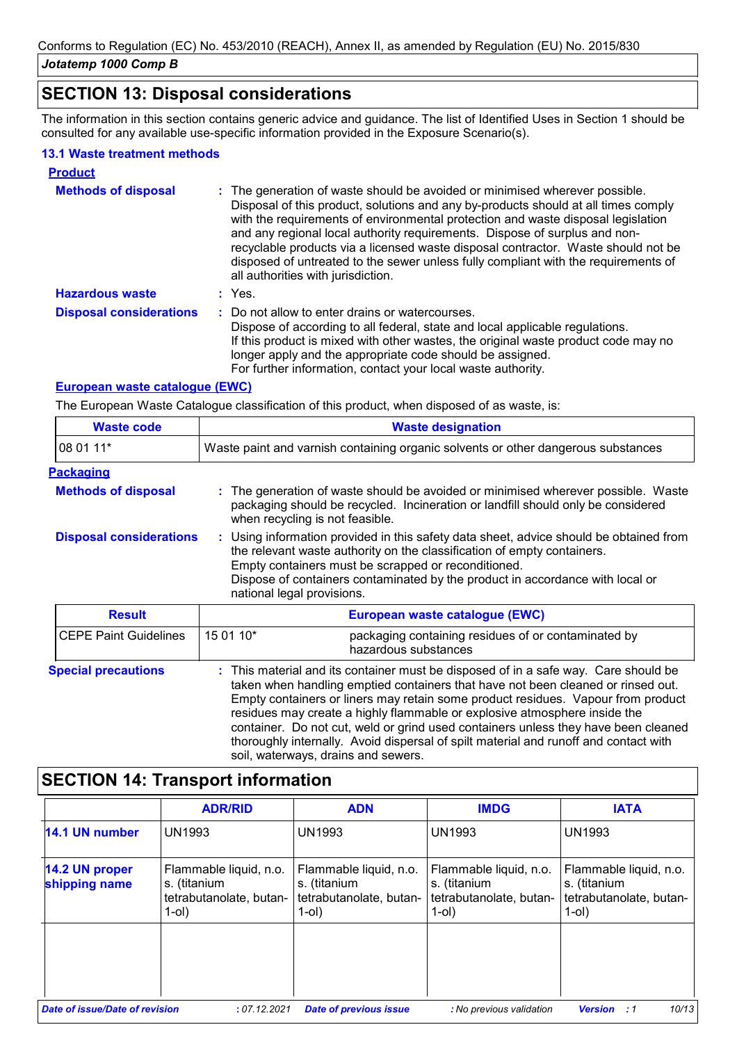# **SECTION 13: Disposal considerations**

The information in this section contains generic advice and guidance. The list of Identified Uses in Section 1 should be consulted for any available use-specific information provided in the Exposure Scenario(s).

### **13.1 Waste treatment methods**

| <b>Product</b>                 |                                                                                                                                                                                                                                                                                                                                                                                                                                                                                                                                                      |
|--------------------------------|------------------------------------------------------------------------------------------------------------------------------------------------------------------------------------------------------------------------------------------------------------------------------------------------------------------------------------------------------------------------------------------------------------------------------------------------------------------------------------------------------------------------------------------------------|
| <b>Methods of disposal</b>     | : The generation of waste should be avoided or minimised wherever possible.<br>Disposal of this product, solutions and any by-products should at all times comply<br>with the requirements of environmental protection and waste disposal legislation<br>and any regional local authority requirements. Dispose of surplus and non-<br>recyclable products via a licensed waste disposal contractor. Waste should not be<br>disposed of untreated to the sewer unless fully compliant with the requirements of<br>all authorities with jurisdiction. |
| <b>Hazardous waste</b>         | : Yes.                                                                                                                                                                                                                                                                                                                                                                                                                                                                                                                                               |
| <b>Disposal considerations</b> | : Do not allow to enter drains or watercourses.<br>Dispose of according to all federal, state and local applicable regulations.<br>If this product is mixed with other wastes, the original waste product code may no<br>longer apply and the appropriate code should be assigned.<br>For further information, contact your local waste authority.                                                                                                                                                                                                   |

### **European waste catalogue (EWC)**

The European Waste Catalogue classification of this product, when disposed of as waste, is:

| <b>Waste code</b>              | <b>Waste designation</b>                                                                                                                                                                                                                                                                                                                |  |  |  |
|--------------------------------|-----------------------------------------------------------------------------------------------------------------------------------------------------------------------------------------------------------------------------------------------------------------------------------------------------------------------------------------|--|--|--|
| 08 01 11*                      | Waste paint and varnish containing organic solvents or other dangerous substances                                                                                                                                                                                                                                                       |  |  |  |
| <b>Packaging</b>               |                                                                                                                                                                                                                                                                                                                                         |  |  |  |
| <b>Methods of disposal</b>     | : The generation of waste should be avoided or minimised wherever possible. Waste<br>packaging should be recycled. Incineration or landfill should only be considered<br>when recycling is not feasible.                                                                                                                                |  |  |  |
| <b>Disposal considerations</b> | : Using information provided in this safety data sheet, advice should be obtained from<br>the relevant waste authority on the classification of empty containers.<br>Empty containers must be scrapped or reconditioned.<br>Dispose of containers contaminated by the product in accordance with local or<br>national legal provisions. |  |  |  |
| <b>Result</b>                  | European waste catalogue (EWC)                                                                                                                                                                                                                                                                                                          |  |  |  |
| <b>CEPE Paint Guidelines</b>   | 15 01 10*<br>packaging containing residues of or contaminated by<br>hazardous substances                                                                                                                                                                                                                                                |  |  |  |
| <b>Special precautions</b>     | : This material and its container must be disposed of in a safe way. Care should be                                                                                                                                                                                                                                                     |  |  |  |

taken when handling emptied containers that have not been cleaned or rinsed out. Empty containers or liners may retain some product residues. Vapour from product residues may create a highly flammable or explosive atmosphere inside the container. Do not cut, weld or grind used containers unless they have been cleaned thoroughly internally. Avoid dispersal of spilt material and runoff and contact with soil, waterways, drains and sewers.

## **SECTION 14: Transport information**

|                                       | <b>ADR/RID</b>                                                                   | <b>ADN</b>                                                                    | <b>IMDG</b>                                                                   | <b>IATA</b>                                                                   |
|---------------------------------------|----------------------------------------------------------------------------------|-------------------------------------------------------------------------------|-------------------------------------------------------------------------------|-------------------------------------------------------------------------------|
| 14.1 UN number                        | <b>UN1993</b>                                                                    | UN1993                                                                        | <b>UN1993</b>                                                                 | <b>UN1993</b>                                                                 |
| 14.2 UN proper<br>shipping name       | Flammable liquid, n.o.<br>s. (titanium<br>tetrabutanolate, butan-<br>$1$ -ol $)$ | Flammable liquid, n.o.<br>s. (titanium<br>tetrabutanolate, butan-<br>$1$ -ol) | Flammable liquid, n.o.<br>s. (titanium<br>tetrabutanolate, butan-<br>$1$ -ol) | Flammable liquid, n.o.<br>s. (titanium<br>tetrabutanolate, butan-<br>$1$ -ol) |
|                                       |                                                                                  |                                                                               |                                                                               |                                                                               |
| <b>Date of issue/Date of revision</b> | : 07.12.2021                                                                     | <b>Date of previous issue</b>                                                 | : No previous validation                                                      | 10/13<br><b>Version</b> : 1                                                   |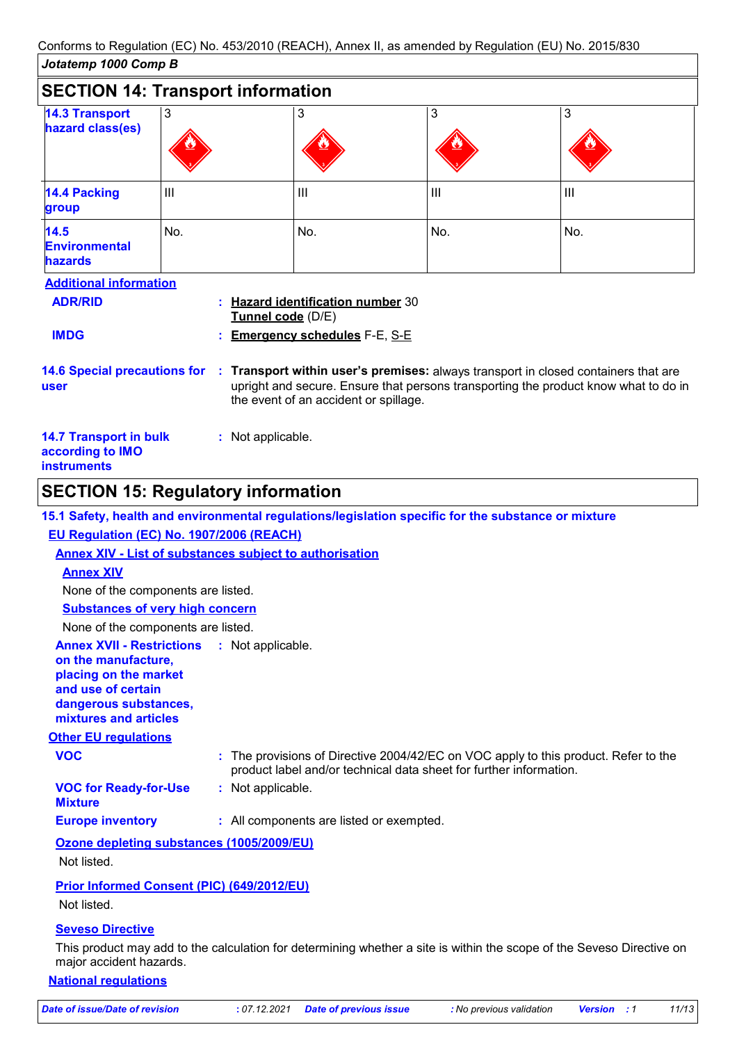| JOIAIEMD TUUU COMD B                                                                                                                                                                                                                                                  |              |                                                        |     |     |
|-----------------------------------------------------------------------------------------------------------------------------------------------------------------------------------------------------------------------------------------------------------------------|--------------|--------------------------------------------------------|-----|-----|
| <b>SECTION 14: Transport information</b>                                                                                                                                                                                                                              |              |                                                        |     |     |
| <b>14.3 Transport</b><br>hazard class(es)                                                                                                                                                                                                                             | $\mathbf{3}$ | 3                                                      | 3   | 3   |
| <b>14.4 Packing</b><br>group                                                                                                                                                                                                                                          | Ш            | Ш                                                      | Ш   | Ш   |
| 14.5<br><b>Environmental</b><br><b>hazards</b>                                                                                                                                                                                                                        | No.          | No.                                                    | No. | No. |
| <b>Additional information</b><br><b>ADR/RID</b>                                                                                                                                                                                                                       |              | : Hazard identification number 30<br>Tunnel code (D/E) |     |     |
| <b>IMDG</b>                                                                                                                                                                                                                                                           |              | <b>Emergency schedules F-E, S-E</b>                    |     |     |
| Transport within user's premises: always transport in closed containers that are<br><b>14.6 Special precautions for</b><br>41<br>upright and secure. Ensure that persons transporting the product know what to do in<br>user<br>the event of an accident or spillage. |              |                                                        |     |     |
| <b>14.7 Transport in bulk</b><br>according to IMO<br><b>instruments</b>                                                                                                                                                                                               |              | : Not applicable.                                      |     |     |

# **SECTION 15: Regulatory information**

|                                                                                                                                                                            | 15.1 Safety, health and environmental regulations/legislation specific for the substance or mixture                                                       |
|----------------------------------------------------------------------------------------------------------------------------------------------------------------------------|-----------------------------------------------------------------------------------------------------------------------------------------------------------|
| EU Regulation (EC) No. 1907/2006 (REACH)                                                                                                                                   |                                                                                                                                                           |
|                                                                                                                                                                            | <b>Annex XIV - List of substances subject to authorisation</b>                                                                                            |
| <b>Annex XIV</b>                                                                                                                                                           |                                                                                                                                                           |
| None of the components are listed.                                                                                                                                         |                                                                                                                                                           |
| <b>Substances of very high concern</b>                                                                                                                                     |                                                                                                                                                           |
| None of the components are listed.                                                                                                                                         |                                                                                                                                                           |
| <b>Annex XVII - Restrictions : Not applicable.</b><br>on the manufacture,<br>placing on the market<br>and use of certain<br>dangerous substances,<br>mixtures and articles |                                                                                                                                                           |
| <b>Other EU regulations</b>                                                                                                                                                |                                                                                                                                                           |
| <b>VOC</b>                                                                                                                                                                 | : The provisions of Directive 2004/42/EC on VOC apply to this product. Refer to the<br>product label and/or technical data sheet for further information. |
| <b>VOC for Ready-for-Use</b><br><b>Mixture</b>                                                                                                                             | : Not applicable.                                                                                                                                         |
| <b>Europe inventory</b>                                                                                                                                                    | : All components are listed or exempted.                                                                                                                  |
| Ozone depleting substances (1005/2009/EU)<br>Not listed.                                                                                                                   |                                                                                                                                                           |
| <b>Prior Informed Consent (PIC) (649/2012/EU)</b><br>Not listed.                                                                                                           |                                                                                                                                                           |
| <b>Seveso Directive</b>                                                                                                                                                    | Thio product mounded to the coloulation for determining whether a cita is within the coope of the Couses. Directive on                                    |

This product may add to the calculation for determining whether a site is within the scope of the Seveso Directive on major accident hazards.

### **National regulations**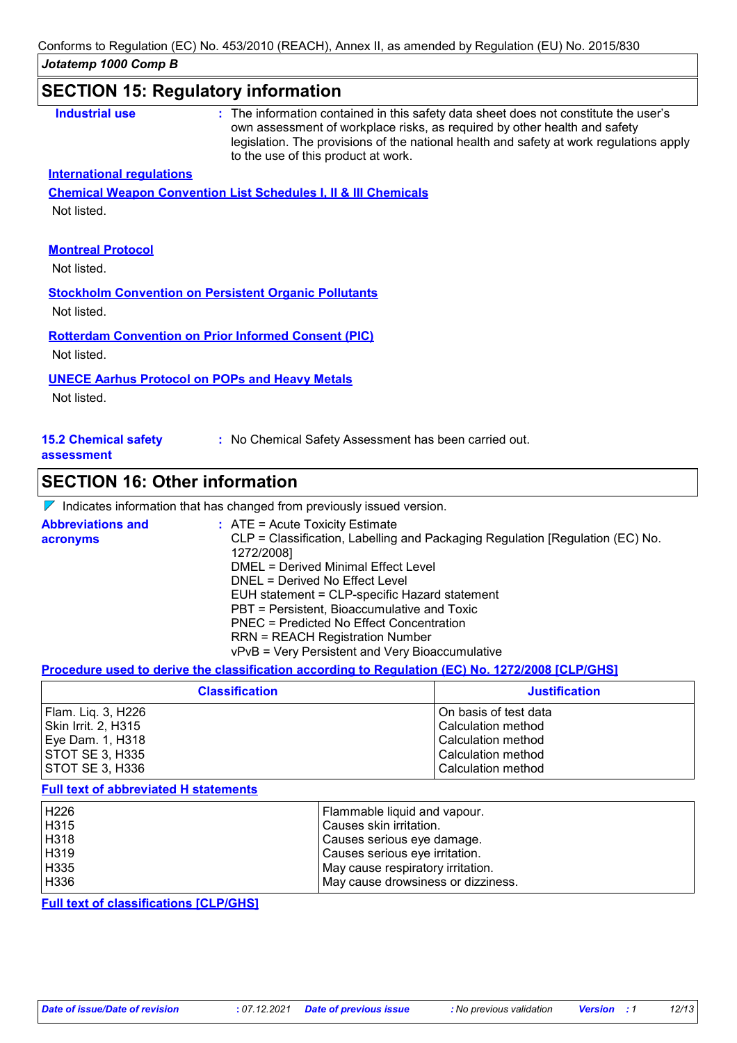| Industrial use                            | : The information contained in this safety data sheet does not constitute the user's<br>own assessment of workplace risks, as required by other health and safety<br>legislation. The provisions of the national health and safety at work regulations apply<br>to the use of this product at work. |
|-------------------------------------------|-----------------------------------------------------------------------------------------------------------------------------------------------------------------------------------------------------------------------------------------------------------------------------------------------------|
| <b>International regulations</b>          |                                                                                                                                                                                                                                                                                                     |
|                                           | <b>Chemical Weapon Convention List Schedules I, II &amp; III Chemicals</b>                                                                                                                                                                                                                          |
| Not listed.                               |                                                                                                                                                                                                                                                                                                     |
|                                           |                                                                                                                                                                                                                                                                                                     |
| <b>Montreal Protocol</b>                  |                                                                                                                                                                                                                                                                                                     |
| Not listed.                               |                                                                                                                                                                                                                                                                                                     |
|                                           | <b>Stockholm Convention on Persistent Organic Pollutants</b>                                                                                                                                                                                                                                        |
| Not listed.                               |                                                                                                                                                                                                                                                                                                     |
|                                           | <b>Rotterdam Convention on Prior Informed Consent (PIC)</b>                                                                                                                                                                                                                                         |
| Not listed.                               |                                                                                                                                                                                                                                                                                                     |
|                                           | <b>UNECE Aarhus Protocol on POPs and Heavy Metals</b>                                                                                                                                                                                                                                               |
| Not listed.                               |                                                                                                                                                                                                                                                                                                     |
|                                           |                                                                                                                                                                                                                                                                                                     |
|                                           |                                                                                                                                                                                                                                                                                                     |
| <b>15.2 Chemical safety</b><br>assessment | : No Chemical Safety Assessment has been carried out.                                                                                                                                                                                                                                               |

# **SECTION 16: Other information**

|  | $\nabla$ Indicates information that has changed from previously issued version. |  |  |  |  |
|--|---------------------------------------------------------------------------------|--|--|--|--|
|--|---------------------------------------------------------------------------------|--|--|--|--|

| <b>Abbreviations and</b><br>acronyms | $\therefore$ ATE = Acute Toxicity Estimate<br>CLP = Classification, Labelling and Packaging Regulation [Regulation (EC) No.<br>1272/2008]<br>DMEL = Derived Minimal Effect Level |
|--------------------------------------|----------------------------------------------------------------------------------------------------------------------------------------------------------------------------------|
|                                      | DNEL = Derived No Effect Level                                                                                                                                                   |
|                                      | EUH statement = CLP-specific Hazard statement                                                                                                                                    |
|                                      | PBT = Persistent, Bioaccumulative and Toxic                                                                                                                                      |
|                                      | PNEC = Predicted No Effect Concentration                                                                                                                                         |
|                                      | <b>RRN = REACH Registration Number</b>                                                                                                                                           |
|                                      | vPvB = Very Persistent and Very Bioaccumulative                                                                                                                                  |

### **Procedure used to derive the classification according to Regulation (EC) No. 1272/2008 [CLP/GHS]**

| <b>Classification</b> | <b>Justification</b>  |
|-----------------------|-----------------------|
| Flam. Liq. 3, H226    | On basis of test data |
| Skin Irrit. 2, H315   | Calculation method    |
| Eye Dam. 1, H318      | Calculation method    |
| STOT SE 3, H335       | Calculation method    |
| STOT SE 3, H336       | Calculation method    |

#### **Full text of abbreviated H statements**

| H <sub>226</sub> | Flammable liquid and vapour.       |
|------------------|------------------------------------|
| H315             | Causes skin irritation.            |
| H318             | Causes serious eye damage.         |
| H319             | Causes serious eye irritation.     |
| H335             | May cause respiratory irritation.  |
| H336             | May cause drowsiness or dizziness. |

**Full text of classifications [CLP/GHS]**